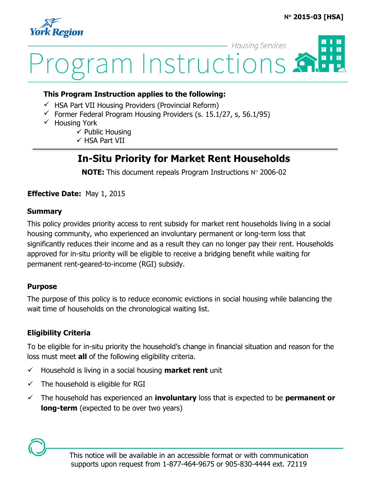

## **Housing Services**  $\blacksquare$ ram Instructions

#### **This Program Instruction applies to the following:**

- $\checkmark$  HSA Part VII Housing Providers (Provincial Reform)
- $\checkmark$  Former Federal Program Housing Providers (s. 15.1/27, s, 56.1/95)
- $\checkmark$  Housing York
	- $\checkmark$  Public Housing
	- $\checkmark$  HSA Part VII

### **In-Situ Priority for Market Rent Households**

**NOTE:** This document repeals Program Instructions N° 2006-02

#### **Effective Date:** May 1, 2015

#### **Summary**

This policy provides priority access to rent subsidy for market rent households living in a social housing community, who experienced an involuntary permanent or long-term loss that significantly reduces their income and as a result they can no longer pay their rent. Households approved for in-situ priority will be eligible to receive a bridging benefit while waiting for permanent rent-geared-to-income (RGI) subsidy.

#### **Purpose**

The purpose of this policy is to reduce economic evictions in social housing while balancing the wait time of households on the chronological waiting list.

#### **Eligibility Criteria**

To be eligible for in-situ priority the household's change in financial situation and reason for the loss must meet **all** of the following eligibility criteria.

- $\checkmark$  Household is living in a social housing **market rent** unit
- $\checkmark$  The household is eligible for RGI
- The household has experienced an **involuntary** loss that is expected to be **permanent or long-term** (expected to be over two years)

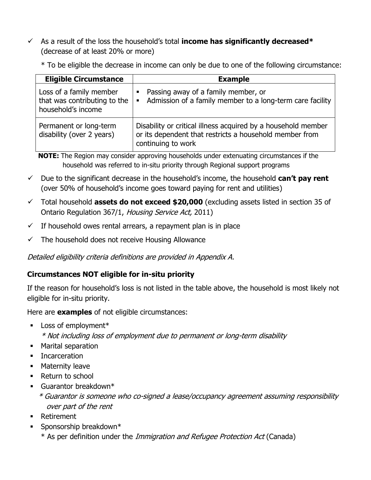As a result of the loss the household's total **income has significantly decreased\*** (decrease of at least 20% or more)

\* To be eligible the decrease in income can only be due to one of the following circumstance:

| <b>Eligible Circumstance</b>                                                  | <b>Example</b>                                                                                                                                 |  |
|-------------------------------------------------------------------------------|------------------------------------------------------------------------------------------------------------------------------------------------|--|
| Loss of a family member<br>that was contributing to the<br>household's income | Passing away of a family member, or<br>п<br>Admission of a family member to a long-term care facility<br>$\blacksquare$                        |  |
| Permanent or long-term<br>disability (over 2 years)                           | Disability or critical illness acquired by a household member<br>or its dependent that restricts a household member from<br>continuing to work |  |

**NOTE:** The Region may consider approving households under extenuating circumstances if the household was referred to in-situ priority through Regional support programs

- $\checkmark$  Due to the significant decrease in the household's income, the household  $can't$  pay rent (over 50% of household's income goes toward paying for rent and utilities)
- Total household **assets do not exceed \$20,000** (excluding assets listed in section 35 of Ontario Regulation 367/1, Housing Service Act, 2011)
- $\checkmark$  If household owes rental arrears, a repayment plan is in place
- $\checkmark$  The household does not receive Housing Allowance

Detailed eligibility criteria definitions are provided in Appendix A.

#### **Circumstances NOT eligible for in-situ priority**

If the reason for household's loss is not listed in the table above, the household is most likely not eligible for in-situ priority.

Here are **examples** of not eligible circumstances:

**Loss of employment\*** 

\* Not including loss of employment due to permanent or long-term disability

- Marital separation
- **Incarceration**
- **Maternity leave**
- Return to school
- Guarantor breakdown\*

\* Guarantor is someone who co-signed a lease/occupancy agreement assuming responsibility over part of the rent

- Retirement
- $\blacksquare$  Sponsorship breakdown\*
	- \* As per definition under the Immigration and Refugee Protection Act (Canada)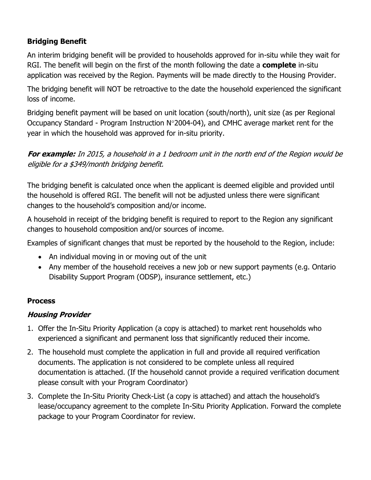#### **Bridging Benefit**

An interim bridging benefit will be provided to households approved for in-situ while they wait for RGI. The benefit will begin on the first of the month following the date a **complete** in-situ application was received by the Region. Payments will be made directly to the Housing Provider.

The bridging benefit will NOT be retroactive to the date the household experienced the significant loss of income.

Bridging benefit payment will be based on unit location (south/north), unit size (as per Regional Occupancy Standard - Program Instruction  $N^{\circ}$ 2004-04), and CMHC average market rent for the year in which the household was approved for in-situ priority.

**For example:** In 2015, a household in a 1 bedroom unit in the north end of the Region would be eligible for a \$349/month bridging benefit.

The bridging benefit is calculated once when the applicant is deemed eligible and provided until the household is offered RGI. The benefit will not be adjusted unless there were significant changes to the household's composition and/or income.

A household in receipt of the bridging benefit is required to report to the Region any significant changes to household composition and/or sources of income.

Examples of significant changes that must be reported by the household to the Region, include:

- An individual moving in or moving out of the unit
- Any member of the household receives a new job or new support payments (e.g. Ontario Disability Support Program (ODSP), insurance settlement, etc.)

#### **Process**

#### **Housing Provider**

- 1. Offer the In-Situ Priority Application (a copy is attached) to market rent households who experienced a significant and permanent loss that significantly reduced their income.
- 2. The household must complete the application in full and provide all required verification documents. The application is not considered to be complete unless all required documentation is attached. (If the household cannot provide a required verification document please consult with your Program Coordinator)
- 3. Complete the In-Situ Priority Check-List (a copy is attached) and attach the household's lease/occupancy agreement to the complete In-Situ Priority Application. Forward the complete package to your Program Coordinator for review.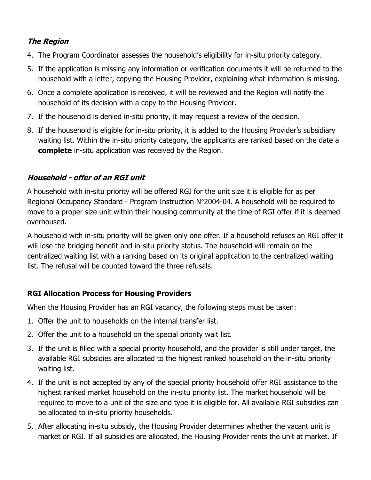#### **The Region**

- 4. The Program Coordinator assesses the household's eligibility for in-situ priority category.
- 5. If the application is missing any information or verification documents it will be returned to the household with a letter, copying the Housing Provider, explaining what information is missing.
- 6. Once a complete application is received, it will be reviewed and the Region will notify the household of its decision with a copy to the Housing Provider.
- 7. If the household is denied in-situ priority, it may request a review of the decision.
- 8. If the household is eligible for in-situ priority, it is added to the Housing Provider's subsidiary waiting list. Within the in-situ priority category, the applicants are ranked based on the date a **complete** in-situ application was received by the Region.

#### **Household - offer of an RGI unit**

A household with in-situ priority will be offered RGI for the unit size it is eligible for as per Regional Occupancy Standard - Program Instruction  $N^{\circ}2004$ -04. A household will be required to move to a proper size unit within their housing community at the time of RGI offer if it is deemed overhoused.

A household with in-situ priority will be given only one offer. If a household refuses an RGI offer it will lose the bridging benefit and in-situ priority status. The household will remain on the centralized waiting list with a ranking based on its original application to the centralized waiting list. The refusal will be counted toward the three refusals.

#### **RGI Allocation Process for Housing Providers**

When the Housing Provider has an RGI vacancy, the following steps must be taken:

- 1. Offer the unit to households on the internal transfer list.
- 2. Offer the unit to a household on the special priority wait list.
- 3. If the unit is filled with a special priority household, and the provider is still under target, the available RGI subsidies are allocated to the highest ranked household on the in-situ priority waiting list.
- 4. If the unit is not accepted by any of the special priority household offer RGI assistance to the highest ranked market household on the in-situ priority list. The market household will be required to move to a unit of the size and type it is eligible for. All available RGI subsidies can be allocated to in-situ priority households.
- 5. After allocating in-situ subsidy, the Housing Provider determines whether the vacant unit is market or RGI. If all subsidies are allocated, the Housing Provider rents the unit at market. If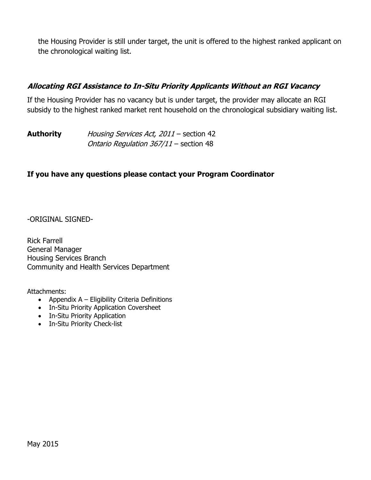the Housing Provider is still under target, the unit is offered to the highest ranked applicant on the chronological waiting list.

#### **Allocating RGI Assistance to In-Situ Priority Applicants Without an RGI Vacancy**

If the Housing Provider has no vacancy but is under target, the provider may allocate an RGI subsidy to the highest ranked market rent household on the chronological subsidiary waiting list.

| <b>Authority</b> | Housing Services Act, 2011 - section 42 |
|------------------|-----------------------------------------|
|                  | Ontario Regulation 367/11 - section 48  |

#### **If you have any questions please contact your Program Coordinator**

-ORIGINAL SIGNED-

Rick Farrell General Manager Housing Services Branch Community and Health Services Department

Attachments:

- Appendix  $A -$  Eligibility Criteria Definitions
- In-Situ Priority Application Coversheet
- In-Situ Priority Application
- In-Situ Priority Check-list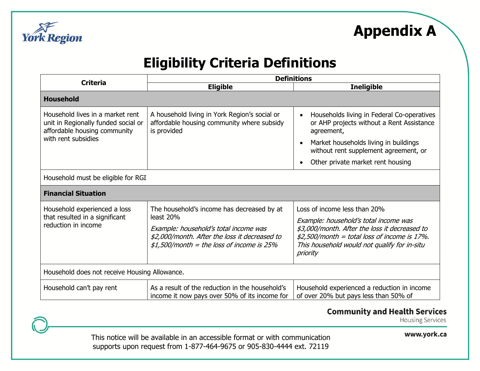

# **Eligibility Criteria Definitions**

| <b>Criteria</b>                                                                                                                | <b>Definitions</b>                                                                                                                                                                               |                                                                                                                                                                                                                                      |  |  |  |
|--------------------------------------------------------------------------------------------------------------------------------|--------------------------------------------------------------------------------------------------------------------------------------------------------------------------------------------------|--------------------------------------------------------------------------------------------------------------------------------------------------------------------------------------------------------------------------------------|--|--|--|
|                                                                                                                                | <b>Eligible</b>                                                                                                                                                                                  | <b>Ineligible</b>                                                                                                                                                                                                                    |  |  |  |
| <b>Household</b>                                                                                                               |                                                                                                                                                                                                  |                                                                                                                                                                                                                                      |  |  |  |
| Household lives in a market rent<br>unit in Regionally funded social or<br>affordable housing community<br>with rent subsidies | A household living in York Region's social or<br>affordable housing community where subsidy<br>is provided                                                                                       | Households living in Federal Co-operatives<br>or AHP projects without a Rent Assistance<br>agreement,<br>Market households living in buildings<br>without rent supplement agreement, or<br>Other private market rent housing         |  |  |  |
| Household must be eligible for RGI                                                                                             |                                                                                                                                                                                                  |                                                                                                                                                                                                                                      |  |  |  |
| <b>Financial Situation</b>                                                                                                     |                                                                                                                                                                                                  |                                                                                                                                                                                                                                      |  |  |  |
| Household experienced a loss<br>that resulted in a significant<br>reduction in income                                          | The household's income has decreased by at<br>least 20%<br>Example: household's total income was<br>\$2,000/month. After the loss it decreased to<br>$$1,500/m$ onth = the loss of income is 25% | Loss of income less than 20%<br>Example: household's total income was<br>\$3,000/month. After the loss it decreased to<br>$$2,500/m$ onth = total loss of income is 17%.<br>This household would not qualify for in-situ<br>priority |  |  |  |
| Household does not receive Housing Allowance.                                                                                  |                                                                                                                                                                                                  |                                                                                                                                                                                                                                      |  |  |  |
| Household can't pay rent                                                                                                       | As a result of the reduction in the household's<br>income it now pays over 50% of its income for                                                                                                 | Household experienced a reduction in income<br>of over 20% but pays less than 50% of                                                                                                                                                 |  |  |  |

#### **Community and Health Services**

**Housing Services** 

This notice will be available in an accessible format or with communication supports upon request from 1-877-464-9675 or 905-830-4444 ext. 72119

www.york.ca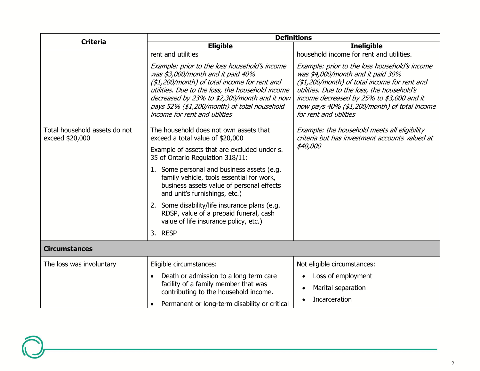| <b>Criteria</b>                                  | <b>Definitions</b>                                                                                                                                                                                                                                                                                                     |                                                                                                                                                                                                                                                                                                          |  |  |
|--------------------------------------------------|------------------------------------------------------------------------------------------------------------------------------------------------------------------------------------------------------------------------------------------------------------------------------------------------------------------------|----------------------------------------------------------------------------------------------------------------------------------------------------------------------------------------------------------------------------------------------------------------------------------------------------------|--|--|
|                                                  | <b>Eligible</b>                                                                                                                                                                                                                                                                                                        | <b>Ineligible</b>                                                                                                                                                                                                                                                                                        |  |  |
|                                                  | rent and utilities                                                                                                                                                                                                                                                                                                     | household income for rent and utilities.                                                                                                                                                                                                                                                                 |  |  |
|                                                  | Example: prior to the loss household's income<br>was \$3,000/month and it paid 40%<br>(\$1,200/month) of total income for rent and<br>utilities. Due to the loss, the household income<br>decreased by 23% to \$2,300/month and it now<br>pays 52% (\$1,200/month) of total household<br>income for rent and utilities | Example: prior to the loss household's income<br>was \$4,000/month and it paid 30%<br>(\$1,200/month) of total income for rent and<br>utilities. Due to the loss, the household's<br>income decreased by 25% to \$3,000 and it<br>now pays 40% (\$1,200/month) of total income<br>for rent and utilities |  |  |
| Total household assets do not<br>exceed \$20,000 | The household does not own assets that<br>exceed a total value of \$20,000                                                                                                                                                                                                                                             | Example: the household meets all eligibility<br>criteria but has investment accounts valued at                                                                                                                                                                                                           |  |  |
|                                                  | Example of assets that are excluded under s.<br>35 of Ontario Regulation 318/11:                                                                                                                                                                                                                                       | <i>\$40,000</i>                                                                                                                                                                                                                                                                                          |  |  |
|                                                  | 1. Some personal and business assets (e.g.<br>family vehicle, tools essential for work,<br>business assets value of personal effects<br>and unit's furnishings, etc.)                                                                                                                                                  |                                                                                                                                                                                                                                                                                                          |  |  |
|                                                  | 2. Some disability/life insurance plans (e.g.<br>RDSP, value of a prepaid funeral, cash<br>value of life insurance policy, etc.)                                                                                                                                                                                       |                                                                                                                                                                                                                                                                                                          |  |  |
|                                                  | 3. RESP                                                                                                                                                                                                                                                                                                                |                                                                                                                                                                                                                                                                                                          |  |  |
| <b>Circumstances</b>                             |                                                                                                                                                                                                                                                                                                                        |                                                                                                                                                                                                                                                                                                          |  |  |
| The loss was involuntary                         | Eligible circumstances:                                                                                                                                                                                                                                                                                                | Not eligible circumstances:                                                                                                                                                                                                                                                                              |  |  |
|                                                  | Death or admission to a long term care<br>$\bullet$                                                                                                                                                                                                                                                                    | Loss of employment<br>$\bullet$                                                                                                                                                                                                                                                                          |  |  |
|                                                  | facility of a family member that was<br>contributing to the household income.                                                                                                                                                                                                                                          | Marital separation<br>$\bullet$                                                                                                                                                                                                                                                                          |  |  |
|                                                  | Permanent or long-term disability or critical                                                                                                                                                                                                                                                                          | Incarceration                                                                                                                                                                                                                                                                                            |  |  |